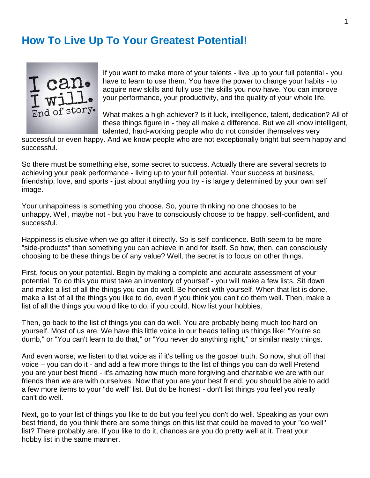## **How To Live Up To Your Greatest Potential!**



If you want to make more of your talents - live up to your full potential - you have to learn to use them. You have the power to change your habits - to acquire new skills and fully use the skills you now have. You can improve your performance, your productivity, and the quality of your whole life.

What makes a high achiever? Is it luck, intelligence, talent, dedication? All of these things figure in - they all make a difference. But we all know intelligent, talented, hard-working people who do not consider themselves very

successful or even happy. And we know people who are not exceptionally bright but seem happy and successful.

So there must be something else, some secret to success. Actually there are several secrets to achieving your peak performance - living up to your full potential. Your success at business, friendship, love, and sports - just about anything you try - is largely determined by your own self image.

Your unhappiness is something you choose. So, you're thinking no one chooses to be unhappy. Well, maybe not - but you have to consciously choose to be happy, self-confident, and successful.

Happiness is elusive when we go after it directly. So is self-confidence. Both seem to be more "side-products" than something you can achieve in and for itself. So how, then, can consciously choosing to be these things be of any value? Well, the secret is to focus on other things.

First, focus on your potential. Begin by making a complete and accurate assessment of your potential. To do this you must take an inventory of yourself - you will make a few lists. Sit down and make a list of all the things you can do well. Be honest with yourself. When that list is done, make a list of all the things you like to do, even if you think you can't do them well. Then, make a list of all the things you would like to do, if you could. Now list your hobbies.

Then, go back to the list of things you can do well. You are probably being much too hard on yourself. Most of us are. We have this little voice in our heads telling us things like: "You're so dumb," or "You can't learn to do that," or "You never do anything right," or similar nasty things.

And even worse, we listen to that voice as if it's telling us the gospel truth. So now, shut off that voice – you can do it - and add a few more things to the list of things you can do well Pretend you are your best friend - it's amazing how much more forgiving and charitable we are with our friends than we are with ourselves. Now that you are your best friend, you should be able to add a few more items to your "do well" list. But do be honest - don't list things you feel you really can't do well.

Next, go to your list of things you like to do but you feel you don't do well. Speaking as your own best friend, do you think there are some things on this list that could be moved to your "do well" list? There probably are. If you like to do it, chances are you do pretty well at it. Treat your hobby list in the same manner.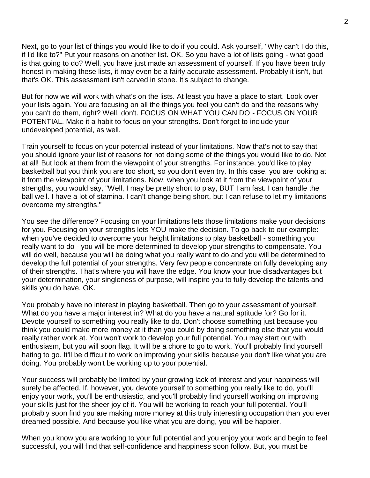Next, go to your list of things you would like to do if you could. Ask yourself, "Why can't I do this, if I'd like to?" Put your reasons on another list. OK. So you have a lot of lists going - what good is that going to do? Well, you have just made an assessment of yourself. If you have been truly honest in making these lists, it may even be a fairly accurate assessment. Probably it isn't, but that's OK. This assessment isn't carved in stone. It's subject to change.

But for now we will work with what's on the lists. At least you have a place to start. Look over your lists again. You are focusing on all the things you feel you can't do and the reasons why you can't do them, right? Well, don't. FOCUS ON WHAT YOU CAN DO - FOCUS ON YOUR POTENTIAL. Make it a habit to focus on your strengths. Don't forget to include your undeveloped potential, as well.

Train yourself to focus on your potential instead of your limitations. Now that's not to say that you should ignore your list of reasons for not doing some of the things you would like to do. Not at all! But look at them from the viewpoint of your strengths. For instance, you'd like to play basketball but you think you are too short, so you don't even try. In this case, you are looking at it from the viewpoint of your limitations. Now, when you look at it from the viewpoint of your strengths, you would say, "Well, I may be pretty short to play, BUT I am fast. I can handle the ball well. I have a lot of stamina. I can't change being short, but I can refuse to let my limitations overcome my strengths."

You see the difference? Focusing on your limitations lets those limitations make your decisions for you. Focusing on your strengths lets YOU make the decision. To go back to our example: when you've decided to overcome your height limitations to play basketball - something you really want to do - you will be more determined to develop your strengths to compensate. You will do well, because you will be doing what you really want to do and you will be determined to develop the full potential of your strengths. Very few people concentrate on fully developing any of their strengths. That's where you will have the edge. You know your true disadvantages but your determination, your singleness of purpose, will inspire you to fully develop the talents and skills you do have. OK.

You probably have no interest in playing basketball. Then go to your assessment of yourself. What do you have a major interest in? What do you have a natural aptitude for? Go for it. Devote yourself to something you really like to do. Don't choose something just because you think you could make more money at it than you could by doing something else that you would really rather work at. You won't work to develop your full potential. You may start out with enthusiasm, but you will soon flag. It will be a chore to go to work. You'll probably find yourself hating to go. It'll be difficult to work on improving your skills because you don't like what you are doing. You probably won't be working up to your potential.

Your success will probably be limited by your growing lack of interest and your happiness will surely be affected. If, however, you devote yourself to something you really like to do, you'll enjoy your work, you'll be enthusiastic, and you'll probably find yourself working on improving your skills just for the sheer joy of it. You will be working to reach your full potential. You'll probably soon find you are making more money at this truly interesting occupation than you ever dreamed possible. And because you like what you are doing, you will be happier.

When you know you are working to your full potential and you enjoy your work and begin to feel successful, you will find that self-confidence and happiness soon follow. But, you must be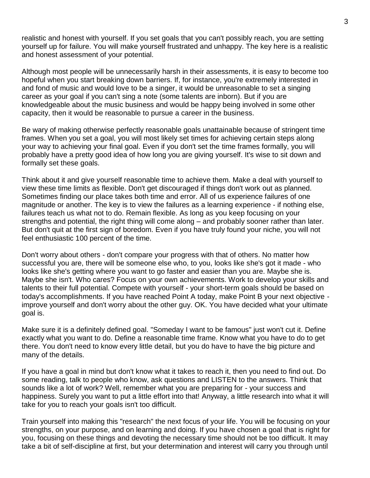realistic and honest with yourself. If you set goals that you can't possibly reach, you are setting yourself up for failure. You will make yourself frustrated and unhappy. The key here is a realistic and honest assessment of your potential.

Although most people will be unnecessarily harsh in their assessments, it is easy to become too hopeful when you start breaking down barriers. If, for instance, you're extremely interested in and fond of music and would love to be a singer, it would be unreasonable to set a singing career as your goal if you can't sing a note (some talents are inborn). But if you are knowledgeable about the music business and would be happy being involved in some other capacity, then it would be reasonable to pursue a career in the business.

Be wary of making otherwise perfectly reasonable goals unattainable because of stringent time frames. When you set a goal, you will most likely set times for achieving certain steps along your way to achieving your final goal. Even if you don't set the time frames formally, you will probably have a pretty good idea of how long you are giving yourself. It's wise to sit down and formally set these goals.

Think about it and give yourself reasonable time to achieve them. Make a deal with yourself to view these time limits as flexible. Don't get discouraged if things don't work out as planned. Sometimes finding our place takes both time and error. All of us experience failures of one magnitude or another. The key is to view the failures as a learning experience - if nothing else, failures teach us what not to do. Remain flexible. As long as you keep focusing on your strengths and potential, the right thing will come along – and probably sooner rather than later. But don't quit at the first sign of boredom. Even if you have truly found your niche, you will not feel enthusiastic 100 percent of the time.

Don't worry about others - don't compare your progress with that of others. No matter how successful you are, there will be someone else who, to you, looks like she's got it made - who looks like she's getting where you want to go faster and easier than you are. Maybe she is. Maybe she isn't. Who cares? Focus on your own achievements. Work to develop your skills and talents to their full potential. Compete with yourself - your short-term goals should be based on today's accomplishments. If you have reached Point A today, make Point B your next objective improve yourself and don't worry about the other guy. OK. You have decided what your ultimate goal is.

Make sure it is a definitely defined goal. "Someday I want to be famous" just won't cut it. Define exactly what you want to do. Define a reasonable time frame. Know what you have to do to get there. You don't need to know every little detail, but you do have to have the big picture and many of the details.

If you have a goal in mind but don't know what it takes to reach it, then you need to find out. Do some reading, talk to people who know, ask questions and LISTEN to the answers. Think that sounds like a lot of work? Well, remember what you are preparing for - your success and happiness. Surely you want to put a little effort into that! Anyway, a little research into what it will take for you to reach your goals isn't too difficult.

Train yourself into making this "research" the next focus of your life. You will be focusing on your strengths, on your purpose, and on learning and doing. If you have chosen a goal that is right for you, focusing on these things and devoting the necessary time should not be too difficult. It may take a bit of self-discipline at first, but your determination and interest will carry you through until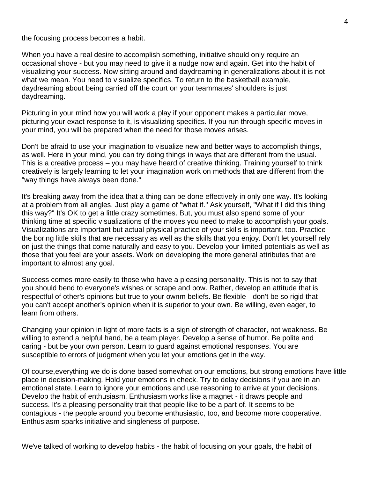the focusing process becomes a habit.

When you have a real desire to accomplish something, initiative should only require an occasional shove - but you may need to give it a nudge now and again. Get into the habit of visualizing your success. Now sitting around and daydreaming in generalizations about it is not what we mean. You need to visualize specifics. To return to the basketball example, daydreaming about being carried off the court on your teammates' shoulders is just daydreaming.

Picturing in your mind how you will work a play if your opponent makes a particular move, picturing your exact response to it, is visualizing specifics. If you run through specific moves in your mind, you will be prepared when the need for those moves arises.

Don't be afraid to use your imagination to visualize new and better ways to accomplish things, as well. Here in your mind, you can try doing things in ways that are different from the usual. This is a creative process – you may have heard of creative thinking. Training yourself to think creatively is largely learning to let your imagination work on methods that are different from the "way things have always been done."

It's breaking away from the idea that a thing can be done effectively in only one way. It's looking at a problem from all angles. Just play a game of "what if." Ask yourself, "What if I did this thing this way?" It's OK to get a little crazy sometimes. But, you must also spend some of your thinking time at specific visualizations of the moves you need to make to accomplish your goals. Visualizations are important but actual physical practice of your skills is important, too. Practice the boring little skills that are necessary as well as the skills that you enjoy. Don't let yourself rely on just the things that come naturally and easy to you. Develop your limited potentials as well as those that you feel are your assets. Work on developing the more general attributes that are important to almost any goal.

Success comes more easily to those who have a pleasing personality. This is not to say that you should bend to everyone's wishes or scrape and bow. Rather, develop an attitude that is respectful of other's opinions but true to your ownm beliefs. Be flexible - don't be so rigid that you can't accept another's opinion when it is superior to your own. Be willing, even eager, to learn from others.

Changing your opinion in light of more facts is a sign of strength of character, not weakness. Be willing to extend a helpful hand, be a team player. Develop a sense of humor. Be polite and caring - but be your own person. Learn to guard against emotional responses. You are susceptible to errors of judgment when you let your emotions get in the way.

Of course,everything we do is done based somewhat on our emotions, but strong emotions have little place in decision-making. Hold your emotions in check. Try to delay decisions if you are in an emotional state. Learn to ignore your emotions and use reasoning to arrive at your decisions. Develop the habit of enthusiasm. Enthusiasm works like a magnet - it draws people and success. It's a pleasing personality trait that people like to be a part of. It seems to be contagious - the people around you become enthusiastic, too, and become more cooperative. Enthusiasm sparks initiative and singleness of purpose.

We've talked of working to develop habits - the habit of focusing on your goals, the habit of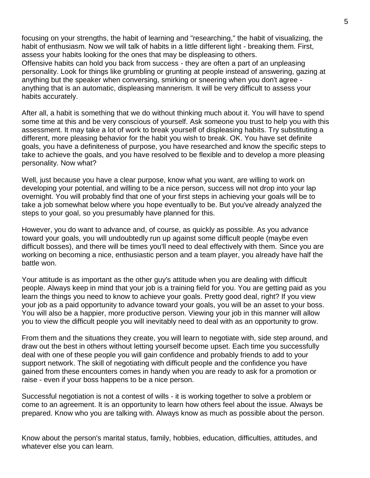focusing on your strengths, the habit of learning and "researching," the habit of visualizing, the habit of enthusiasm. Now we will talk of habits in a little different light - breaking them. First, assess your habits looking for the ones that may be displeasing to others. Offensive habits can hold you back from success - they are often a part of an unpleasing personality. Look for things like grumbling or grunting at people instead of answering, gazing at anything but the speaker when conversing, smirking or sneering when you don't agree anything that is an automatic, displeasing mannerism. It will be very difficult to assess your habits accurately.

After all, a habit is something that we do without thinking much about it. You will have to spend some time at this and be very conscious of yourself. Ask someone you trust to help you with this assessment. It may take a lot of work to break yourself of displeasing habits. Try substituting a different, more pleasing behavior for the habit you wish to break. OK. You have set definite goals, you have a definiteness of purpose, you have researched and know the specific steps to take to achieve the goals, and you have resolved to be flexible and to develop a more pleasing personality. Now what?

Well, just because you have a clear purpose, know what you want, are willing to work on developing your potential, and willing to be a nice person, success will not drop into your lap overnight. You will probably find that one of your first steps in achieving your goals will be to take a job somewhat below where you hope eventually to be. But you've already analyzed the steps to your goal, so you presumably have planned for this.

However, you do want to advance and, of course, as quickly as possible. As you advance toward your goals, you will undoubtedly run up against some difficult people (maybe even difficult bosses), and there will be times you'll need to deal effectively with them. Since you are working on becoming a nice, enthusiastic person and a team player, you already have half the battle won.

Your attitude is as important as the other guy's attitude when you are dealing with difficult people. Always keep in mind that your job is a training field for you. You are getting paid as you learn the things you need to know to achieve your goals. Pretty good deal, right? If you view your job as a paid opportunity to advance toward your goals, you will be an asset to your boss. You will also be a happier, more productive person. Viewing your job in this manner will allow you to view the difficult people you will inevitably need to deal with as an opportunity to grow.

From them and the situations they create, you will learn to negotiate with, side step around, and draw out the best in others without letting yourself become upset. Each time you successfully deal with one of these people you will gain confidence and probably friends to add to your support network. The skill of negotiating with difficult people and the confidence you have gained from these encounters comes in handy when you are ready to ask for a promotion or raise - even if your boss happens to be a nice person.

Successful negotiation is not a contest of wills - it is working together to solve a problem or come to an agreement. It is an opportunity to learn how others feel about the issue. Always be prepared. Know who you are talking with. Always know as much as possible about the person.

Know about the person's marital status, family, hobbies, education, difficulties, attitudes, and whatever else you can learn.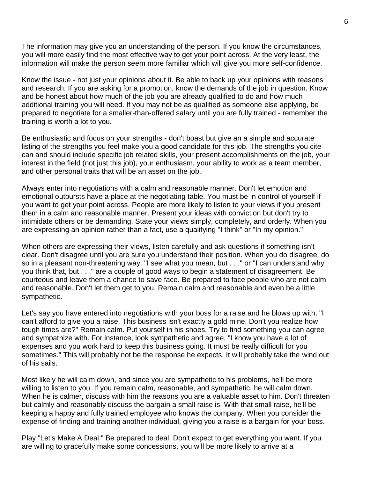The information may give you an understanding of the person. If you know the circumstances, you will more easily find the most effective way to get your point across. At the very least, the information will make the person seem more familiar which will give you more self-confidence.

Know the issue - not just your opinions about it. Be able to back up your opinions with reasons and research. If you are asking for a promotion, know the demands of the job in question. Know and be honest about how much of the job you are already qualified to do and how much additional training you will need. If you may not be as qualified as someone else applying, be prepared to negotiate for a smaller-than-offered salary until you are fully trained - remember the training is worth a lot to you.

Be enthusiastic and focus on your strengths - don't boast but give an a simple and accurate listing of the strengths you feel make you a good candidate for this job. The strengths you cite can and should include specific job related skills, your present accomplishments on the job, your interest in the field (not just this job), your enthusiasm, your ability to work as a team member, and other personal traits that will be an asset on the job.

Always enter into negotiations with a calm and reasonable manner. Don't let emotion and emotional outbursts have a place at the negotiating table. You must be in control of yourself if you want to get your point across. People are more likely to listen to your views if you present them in a calm and reasonable manner. Present your ideas with conviction but don't try to intimidate others or be demanding. State your views simply, completely, and orderly. When you are expressing an opinion rather than a fact, use a qualifying "I think" or "In my opinion."

When others are expressing their views, listen carefully and ask questions if something isn't clear. Don't disagree until you are sure you understand their position. When you do disagree, do so in a pleasant non-threatening way. "I see what you mean, but . . ." or "I can understand why you think that, but . . ." are a couple of good ways to begin a statement of disagreement. Be courteous and leave them a chance to save face. Be prepared to face people who are not calm and reasonable. Don't let them get to you. Remain calm and reasonable and even be a little sympathetic.

Let's say you have entered into negotiations with your boss for a raise and he blows up with, "I can't afford to give you a raise. This business isn't exactly a gold mine. Don't you realize how tough times are?" Remain calm. Put yourself in his shoes. Try to find something you can agree and sympathize with. For instance, look sympathetic and agree, "I know you have a lot of expenses and you work hard to keep this business going. It must be really difficult for you sometimes." This will probably not be the response he expects. It will probably take the wind out of his sails.

Most likely he will calm down, and since you are sympathetic to his problems, he'll be more willing to listen to you. If you remain calm, reasonable, and sympathetic, he will calm down. When he is calmer, discuss with him the reasons you are a valuable asset to him. Don't threaten but calmly and reasonably discuss the bargain a small raise is. With that small raise, he'll be keeping a happy and fully trained employee who knows the company. When you consider the expense of finding and training another individual, giving you a raise is a bargain for your boss.

Play "Let's Make A Deal." Be prepared to deal. Don't expect to get everything you want. If you are willing to gracefully make some concessions, you will be more likely to arrive at a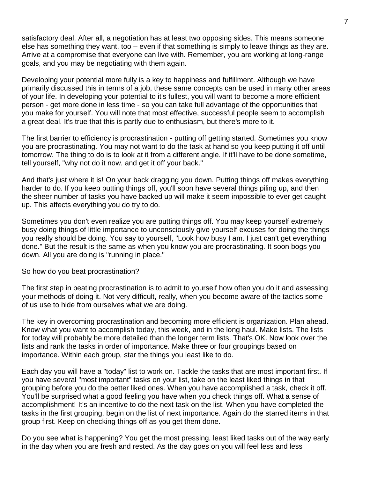satisfactory deal. After all, a negotiation has at least two opposing sides. This means someone else has something they want, too – even if that something is simply to leave things as they are. Arrive at a compromise that everyone can live with. Remember, you are working at long-range goals, and you may be negotiating with them again.

Developing your potential more fully is a key to happiness and fulfillment. Although we have primarily discussed this in terms of a job, these same concepts can be used in many other areas of your life. In developing your potential to it's fullest, you will want to become a more efficient person - get more done in less time - so you can take full advantage of the opportunities that you make for yourself. You will note that most effective, successful people seem to accomplish a great deal. It's true that this is partly due to enthusiasm, but there's more to it.

The first barrier to efficiency is procrastination - putting off getting started. Sometimes you know you are procrastinating. You may not want to do the task at hand so you keep putting it off until tomorrow. The thing to do is to look at it from a different angle. If it'll have to be done sometime, tell yourself, "why not do it now, and get it off your back."

And that's just where it is! On your back dragging you down. Putting things off makes everything harder to do. If you keep putting things off, you'll soon have several things piling up, and then the sheer number of tasks you have backed up will make it seem impossible to ever get caught up. This affects everything you do try to do.

Sometimes you don't even realize you are putting things off. You may keep yourself extremely busy doing things of little importance to unconsciously give yourself excuses for doing the things you really should be doing. You say to yourself, "Look how busy I am. I just can't get everything done." But the result is the same as when you know you are procrastinating. It soon bogs you down. All you are doing is "running in place."

So how do you beat procrastination?

The first step in beating procrastination is to admit to yourself how often you do it and assessing your methods of doing it. Not very difficult, really, when you become aware of the tactics some of us use to hide from ourselves what we are doing.

The key in overcoming procrastination and becoming more efficient is organization. Plan ahead. Know what you want to accomplish today, this week, and in the long haul. Make lists. The lists for today will probably be more detailed than the longer term lists. That's OK. Now look over the lists and rank the tasks in order of importance. Make three or four groupings based on importance. Within each group, star the things you least like to do.

Each day you will have a "today" list to work on. Tackle the tasks that are most important first. If you have several "most important" tasks on your list, take on the least liked things in that grouping before you do the better liked ones. When you have accomplished a task, check it off. You'll be surprised what a good feeling you have when you check things off. What a sense of accomplishment! It's an incentive to do the next task on the list. When you have completed the tasks in the first grouping, begin on the list of next importance. Again do the starred items in that group first. Keep on checking things off as you get them done.

Do you see what is happening? You get the most pressing, least liked tasks out of the way early in the day when you are fresh and rested. As the day goes on you will feel less and less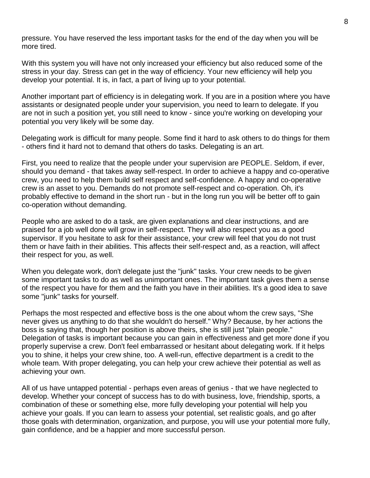pressure. You have reserved the less important tasks for the end of the day when you will be more tired.

With this system you will have not only increased your efficiency but also reduced some of the stress in your day. Stress can get in the way of efficiency. Your new efficiency will help you develop your potential. It is, in fact, a part of living up to your potential.

Another important part of efficiency is in delegating work. If you are in a position where you have assistants or designated people under your supervision, you need to learn to delegate. If you are not in such a position yet, you still need to know - since you're working on developing your potential you very likely will be some day.

Delegating work is difficult for many people. Some find it hard to ask others to do things for them - others find it hard not to demand that others do tasks. Delegating is an art.

First, you need to realize that the people under your supervision are PEOPLE. Seldom, if ever, should you demand - that takes away self-respect. In order to achieve a happy and co-operative crew, you need to help them build self respect and self-confidence. A happy and co-operative crew is an asset to you. Demands do not promote self-respect and co-operation. Oh, it's probably effective to demand in the short run - but in the long run you will be better off to gain co-operation without demanding.

People who are asked to do a task, are given explanations and clear instructions, and are praised for a job well done will grow in self-respect. They will also respect you as a good supervisor. If you hesitate to ask for their assistance, your crew will feel that you do not trust them or have faith in their abilities. This affects their self-respect and, as a reaction, will affect their respect for you, as well.

When you delegate work, don't delegate just the "junk" tasks. Your crew needs to be given some important tasks to do as well as unimportant ones. The important task gives them a sense of the respect you have for them and the faith you have in their abilities. It's a good idea to save some "junk" tasks for yourself.

Perhaps the most respected and effective boss is the one about whom the crew says, "She never gives us anything to do that she wouldn't do herself." Why? Because, by her actions the boss is saying that, though her position is above theirs, she is still just "plain people." Delegation of tasks is important because you can gain in effectiveness and get more done if you properly supervise a crew. Don't feel embarrassed or hesitant about delegating work. If it helps you to shine, it helps your crew shine, too. A well-run, effective department is a credit to the whole team. With proper delegating, you can help your crew achieve their potential as well as achieving your own.

All of us have untapped potential - perhaps even areas of genius - that we have neglected to develop. Whether your concept of success has to do with business, love, friendship, sports, a combination of these or something else, more fully developing your potential will help you achieve your goals. If you can learn to assess your potential, set realistic goals, and go after those goals with determination, organization, and purpose, you will use your potential more fully, gain confidence, and be a happier and more successful person.